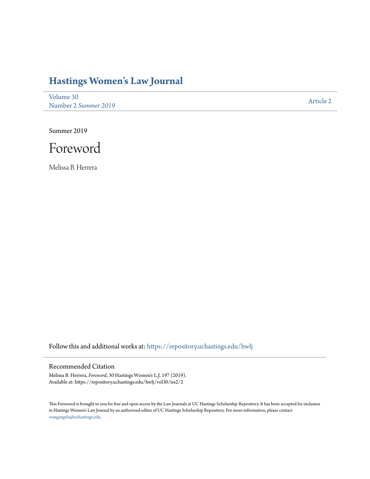## **[Hastings Women's Law Journal](https://repository.uchastings.edu/hwlj?utm_source=repository.uchastings.edu%2Fhwlj%2Fvol30%2Fiss2%2F2&utm_medium=PDF&utm_campaign=PDFCoverPages)**

[Volume 30](https://repository.uchastings.edu/hwlj/vol30?utm_source=repository.uchastings.edu%2Fhwlj%2Fvol30%2Fiss2%2F2&utm_medium=PDF&utm_campaign=PDFCoverPages) Number 2 *[Summer 2019](https://repository.uchastings.edu/hwlj/vol30/iss2?utm_source=repository.uchastings.edu%2Fhwlj%2Fvol30%2Fiss2%2F2&utm_medium=PDF&utm_campaign=PDFCoverPages)* [Article 2](https://repository.uchastings.edu/hwlj/vol30/iss2/2?utm_source=repository.uchastings.edu%2Fhwlj%2Fvol30%2Fiss2%2F2&utm_medium=PDF&utm_campaign=PDFCoverPages)

Summer 2019



Melissa B. Herrera

Follow this and additional works at: [https://repository.uchastings.edu/hwlj](https://repository.uchastings.edu/hwlj?utm_source=repository.uchastings.edu%2Fhwlj%2Fvol30%2Fiss2%2F2&utm_medium=PDF&utm_campaign=PDFCoverPages)

## Recommended Citation

Melissa B. Herrera, *Foreword*, 30 Hastings Women's L.J. 197 (2019). Available at: https://repository.uchastings.edu/hwlj/vol30/iss2/2

This Foreword is brought to you for free and open access by the Law Journals at UC Hastings Scholarship Repository. It has been accepted for inclusion in Hastings Women's Law Journal by an authorized editor of UC Hastings Scholarship Repository. For more information, please contact [wangangela@uchastings.edu](mailto:wangangela@uchastings.edu).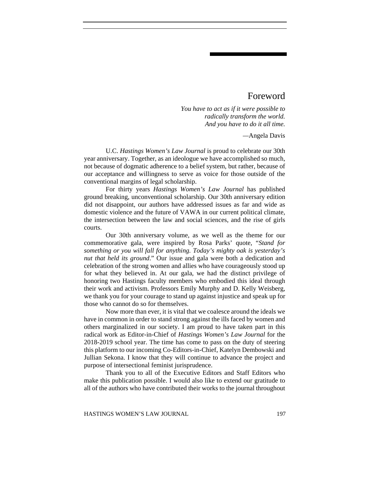## Foreword

*You have to act as if it were possible to radically transform the world. And you have to do it all time.* 

*—*Angela Davis

U.C. *Hastings Women's Law Journal* is proud to celebrate our 30th year anniversary. Together, as an ideologue we have accomplished so much, not because of dogmatic adherence to a belief system, but rather, because of our acceptance and willingness to serve as voice for those outside of the conventional margins of legal scholarship.

For thirty years *Hastings Women's Law Journal* has published ground breaking, unconventional scholarship. Our 30th anniversary edition did not disappoint, our authors have addressed issues as far and wide as domestic violence and the future of VAWA in our current political climate, the intersection between the law and social sciences, and the rise of girls courts.

Our 30th anniversary volume, as we well as the theme for our commemorative gala, were inspired by Rosa Parks' quote, "*Stand for something or you will fall for anything. Today's mighty oak is yesterday's nut that held its ground*." Our issue and gala were both a dedication and celebration of the strong women and allies who have courageously stood up for what they believed in. At our gala, we had the distinct privilege of honoring two Hastings faculty members who embodied this ideal through their work and activism. Professors Emily Murphy and D. Kelly Weisberg, we thank you for your courage to stand up against injustice and speak up for those who cannot do so for themselves.

Now more than ever, it is vital that we coalesce around the ideals we have in common in order to stand strong against the ills faced by women and others marginalized in our society. I am proud to have taken part in this radical work as Editor-in-Chief of *Hastings Women's Law Journal* for the 2018-2019 school year. The time has come to pass on the duty of steering this platform to our incoming Co-Editors-in-Chief, Katelyn Dembowski and Jullian Sekona. I know that they will continue to advance the project and purpose of intersectional feminist jurisprudence.

Thank you to all of the Executive Editors and Staff Editors who make this publication possible. I would also like to extend our gratitude to all of the authors who have contributed their works to the journal throughout